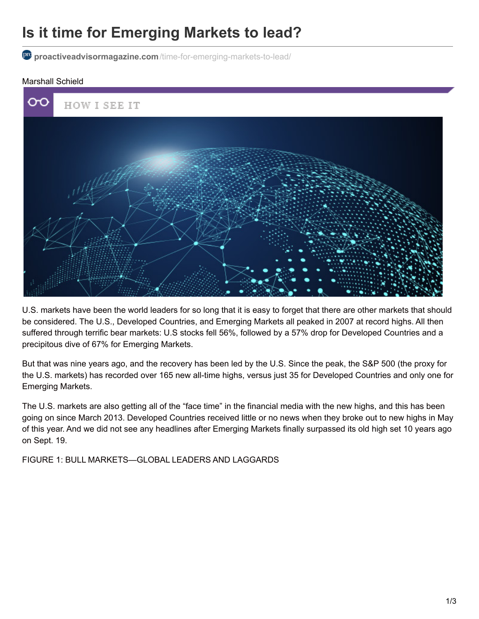## **Is it time for Emerging Markets to lead?**

**proactiveadvisormagazine.com**[/time-for-emerging-markets-to-lead/](http://proactiveadvisormagazine.com/time-for-emerging-markets-to-lead/)

## Marshall Schield



U.S. markets have been the world leaders for so long that it is easy to forget that there are other markets that should be considered. The U.S., Developed Countries, and Emerging Markets all peaked in 2007 at record highs. All then suffered through terrific bear markets: U.S stocks fell 56%, followed by a 57% drop for Developed Countries and a precipitous dive of 67% for Emerging Markets.

But that was nine years ago, and the recovery has been led by the U.S. Since the peak, the S&P 500 (the proxy for the U.S. markets) has recorded over 165 new all-time highs, versus just 35 for Developed Countries and only one for Emerging Markets.

The U.S. markets are also getting all of the "face time" in the financial media with the new highs, and this has been going on since March 2013. Developed Countries received little or no news when they broke out to new highs in May of this year. And we did not see any headlines after Emerging Markets finally surpassed its old high set 10 years ago on Sept. 19.

FIGURE 1: BULL MARKETS—GLOBAL LEADERS AND LAGGARDS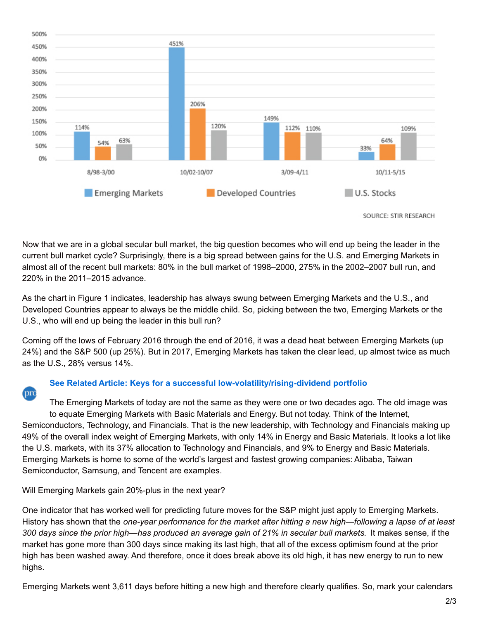

SOURCE: STIR RESEARCH

Now that we are in a global secular bull market, the big question becomes who will end up being the leader in the current bull market cycle? Surprisingly, there is a big spread between gains for the U.S. and Emerging Markets in almost all of the recent bull markets: 80% in the bull market of 1998–2000, 275% in the 2002–2007 bull run, and 220% in the 2011–2015 advance.

As the chart in Figure 1 indicates, leadership has always swung between Emerging Markets and the U.S., and Developed Countries appear to always be the middle child. So, picking between the two, Emerging Markets or the U.S., who will end up being the leader in this bull run?

Coming off the lows of February 2016 through the end of 2016, it was a dead heat between Emerging Markets (up 24%) and the S&P 500 (up 25%). But in 2017, Emerging Markets has taken the clear lead, up almost twice as much as the U.S., 28% versus 14%.

## **See Related Article: Keys for a successful [low-volatility/rising-dividend](http://proactiveadvisormagazine.com/keys-successful-low-volatility-rising-dividend-portfolio/) portfolio**

The Emerging Markets of today are not the same as they were one or two decades ago. The old image was to equate Emerging Markets with Basic Materials and Energy. But not today. Think of the Internet, Semiconductors, Technology, and Financials. That is the new leadership, with Technology and Financials making up 49% of the overall index weight of Emerging Markets, with only 14% in Energy and Basic Materials. It looks a lot like the U.S. markets, with its 37% allocation to Technology and Financials, and 9% to Energy and Basic Materials. Emerging Markets is home to some of the world's largest and fastest growing companies: Alibaba, Taiwan Semiconductor, Samsung, and Tencent are examples.

Will Emerging Markets gain 20%-plus in the next year?

pro

One indicator that has worked well for predicting future moves for the S&P might just apply to Emerging Markets. History has shown that the *one-year performance for the market after hitting a new high—following a lapse of at least* 300 days since the prior high—has produced an average gain of 21% in secular bull markets. It makes sense, if the market has gone more than 300 days since making its last high, that all of the excess optimism found at the prior high has been washed away. And therefore, once it does break above its old high, it has new energy to run to new highs.

Emerging Markets went 3,611 days before hitting a new high and therefore clearly qualifies. So, mark your calendars